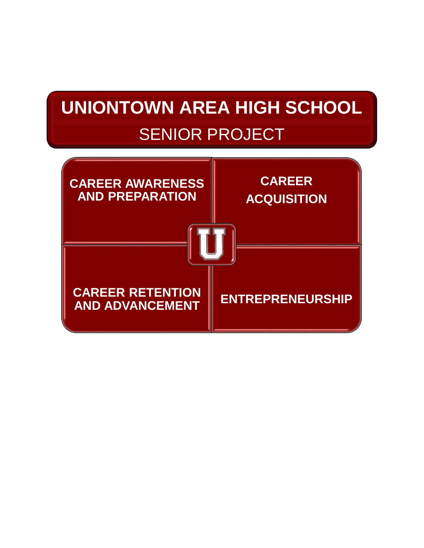# **UNIONTOWN AREA HIGH SCHOOL** SENIOR PROJECT

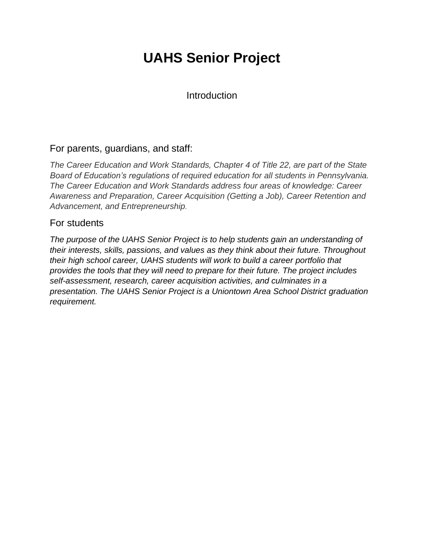### **UAHS Senior Project**

Introduction

### For parents, guardians, and staff:

*The Career Education and Work Standards, Chapter 4 of Title 22, are part of the State Board of Education's regulations of required education for all students in Pennsylvania. The Career Education and Work Standards address four areas of knowledge: Career Awareness and Preparation, Career Acquisition (Getting a Job), Career Retention and Advancement, and Entrepreneurship.*

### For students

*The purpose of the UAHS Senior Project is to help students gain an understanding of their interests, skills, passions, and values as they think about their future. Throughout their high school career, UAHS students will work to build a career portfolio that provides the tools that they will need to prepare for their future. The project includes self-assessment, research, career acquisition activities, and culminates in a presentation. The UAHS Senior Project is a Uniontown Area School District graduation requirement.*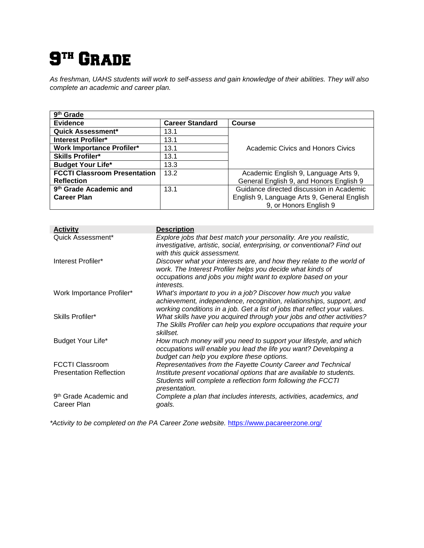## $\mathbf{S}^{\text{\tiny{TH}}}$  Grade

*As freshman, UAHS students will work to self-assess and gain knowledge of their abilities. They will also complete an academic and career plan.* 

| 9 <sup>th</sup> Grade               |                        |                                             |
|-------------------------------------|------------------------|---------------------------------------------|
| <b>Evidence</b>                     | <b>Career Standard</b> | Course                                      |
| <b>Quick Assessment*</b>            | 13.1                   |                                             |
| <b>Interest Profiler*</b>           | 13.1                   |                                             |
| <b>Work Importance Profiler*</b>    | 13.1                   | Academic Civics and Honors Civics           |
| <b>Skills Profiler*</b>             | 13.1                   |                                             |
| <b>Budget Your Life*</b>            | 13.3                   |                                             |
| <b>FCCTI Classroom Presentation</b> | 13.2                   | Academic English 9, Language Arts 9,        |
| <b>Reflection</b>                   |                        | General English 9, and Honors English 9     |
| 9 <sup>th</sup> Grade Academic and  | 13.1                   | Guidance directed discussion in Academic    |
| <b>Career Plan</b>                  |                        | English 9, Language Arts 9, General English |
|                                     |                        | 9, or Honors English 9                      |

| <b>Activity</b>                    | <b>Description</b>                                                                                                                                                                                                |
|------------------------------------|-------------------------------------------------------------------------------------------------------------------------------------------------------------------------------------------------------------------|
| Quick Assessment*                  | Explore jobs that best match your personality. Are you realistic,<br>investigative, artistic, social, enterprising, or conventional? Find out<br>with this quick assessment.                                      |
| Interest Profiler*                 | Discover what your interests are, and how they relate to the world of<br>work. The Interest Profiler helps you decide what kinds of<br>occupations and jobs you might want to explore based on your<br>interests. |
| Work Importance Profiler*          | What's important to you in a job? Discover how much you value<br>achievement, independence, recognition, relationships, support, and<br>working conditions in a job. Get a list of jobs that reflect your values. |
| Skills Profiler*                   | What skills have you acquired through your jobs and other activities?<br>The Skills Profiler can help you explore occupations that require your<br>skillset.                                                      |
| Budget Your Life*                  | How much money will you need to support your lifestyle, and which<br>occupations will enable you lead the life you want? Developing a<br>budget can help you explore these options.                               |
| <b>FCCTI Classroom</b>             | Representatives from the Fayette County Career and Technical                                                                                                                                                      |
| <b>Presentation Reflection</b>     | Institute present vocational options that are available to students.<br>Students will complete a reflection form following the FCCTI<br>presentation.                                                             |
| 9 <sup>th</sup> Grade Academic and | Complete a plan that includes interests, activities, academics, and                                                                                                                                               |
| Career Plan                        | goals.                                                                                                                                                                                                            |

\*Activity to be completed on the PA Career Zone website. <https://www.pacareerzone.org/>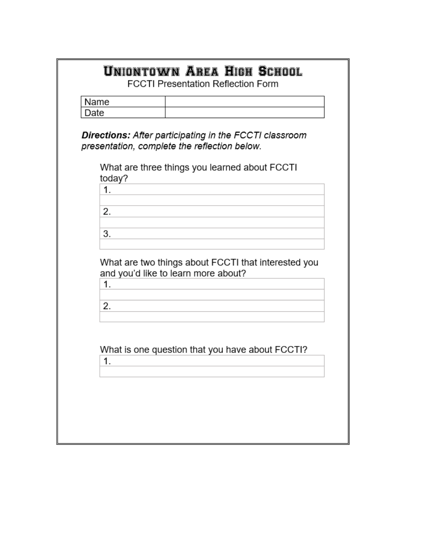|      | Name                                                                                                   |
|------|--------------------------------------------------------------------------------------------------------|
| Date |                                                                                                        |
|      | Directions: After participating in the FCCTI classroom<br>presentation, complete the reflection below. |
|      | What are three things you learned about FCCTI<br>today?                                                |
|      | 1.                                                                                                     |
|      | 2.                                                                                                     |
|      | 3.                                                                                                     |
|      | What are two things about FCCTI that interested you<br>and you'd like to learn more about?<br>1.<br>2. |
|      | What is one question that you have about FCCTI?<br>1.                                                  |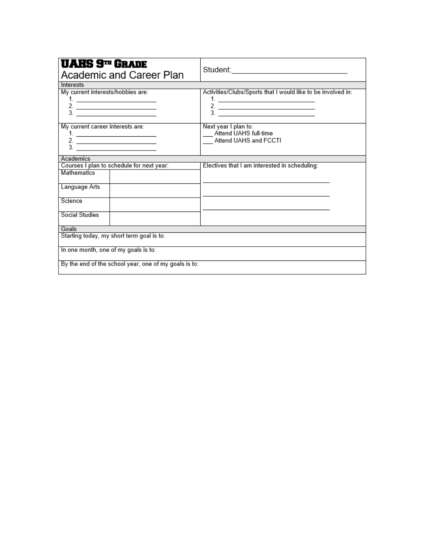| <b>UAHS 9TH GRADE</b><br>Academic and Career Plan                                                                                          | Student: <u>www.community.com</u>                                               |  |
|--------------------------------------------------------------------------------------------------------------------------------------------|---------------------------------------------------------------------------------|--|
| Interests                                                                                                                                  |                                                                                 |  |
| My current interests/hobbies are:<br>1. <u>___________________</u> _____<br>$\frac{2}{3}$ .                                                | Activities/Clubs/Sports that I would like to be involved in:<br>$\frac{2}{3}$ . |  |
| My current career interests are:<br>1. <u>____________________</u> _____<br>$\frac{2}{3}$ .                                                | Next year I plan to:<br>Attend UAHS full-time<br>Attend UAHS and FCCTI          |  |
| Academics                                                                                                                                  |                                                                                 |  |
| Courses I plan to schedule for next year:<br><b>Mathematics</b><br>Language Arts<br>Science<br><b>Social Studies</b>                       | Electives that I am interested in scheduling:                                   |  |
| Goals                                                                                                                                      |                                                                                 |  |
| Starting today, my short term goal is to:<br>In one month, one of my goals is to:<br>By the end of the school year, one of my goals is to: |                                                                                 |  |
|                                                                                                                                            |                                                                                 |  |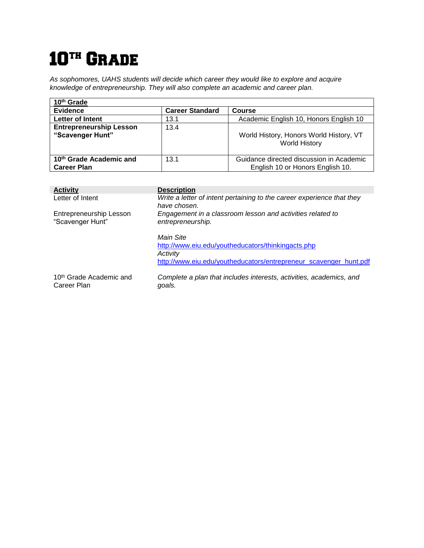# 10<sup>th</sup> Grade

*As sophomores, UAHS students will decide which career they would like to explore and acquire knowledge of entrepreneurship. They will also complete an academic and career plan.*

| 10 <sup>th</sup> Grade                                    |                        |                                                                              |
|-----------------------------------------------------------|------------------------|------------------------------------------------------------------------------|
| <b>Evidence</b>                                           | <b>Career Standard</b> | <b>Course</b>                                                                |
| Letter of Intent                                          | 13.1                   | Academic English 10, Honors English 10                                       |
| <b>Entrepreneurship Lesson</b><br>"Scavenger Hunt"        | 13.4                   | World History, Honors World History, VT<br><b>World History</b>              |
| 10 <sup>th</sup> Grade Academic and<br><b>Career Plan</b> | 13.1                   | Guidance directed discussion in Academic<br>English 10 or Honors English 10. |

| <b>Activity</b>                                    | <b>Description</b>                                                                     |
|----------------------------------------------------|----------------------------------------------------------------------------------------|
| Letter of Intent                                   | Write a letter of intent pertaining to the career experience that they<br>have chosen. |
| Entrepreneurship Lesson<br>"Scavenger Hunt"        | Engagement in a classroom lesson and activities related to<br>entrepreneurship.        |
|                                                    | Main Site<br>http://www.eiu.edu/youtheducators/thinkingacts.php                        |
|                                                    | Activity                                                                               |
|                                                    | http://www.eiu.edu/youtheducators/entrepreneur scavenger hunt.pdf                      |
| 10 <sup>th</sup> Grade Academic and<br>Career Plan | Complete a plan that includes interests, activities, academics, and<br>goals.          |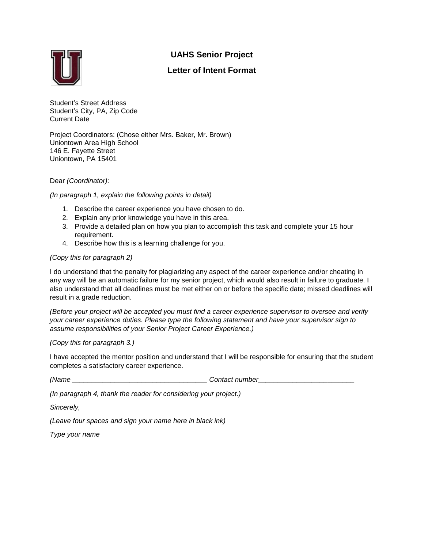#### **UAHS Senior Project**



#### **Letter of Intent Format**

Student's Street Address Student's City, PA, Zip Code Current Date

Project Coordinators: (Chose either Mrs. Baker, Mr. Brown) Uniontown Area High School 146 E. Fayette Street Uniontown, PA 15401

Dear *(Coordinator):*

*(In paragraph 1, explain the following points in detail)*

- 1. Describe the career experience you have chosen to do.
- 2. Explain any prior knowledge you have in this area.
- 3. Provide a detailed plan on how you plan to accomplish this task and complete your 15 hour requirement.
- 4. Describe how this is a learning challenge for you.

#### *(Copy this for paragraph 2)*

I do understand that the penalty for plagiarizing any aspect of the career experience and/or cheating in any way will be an automatic failure for my senior project, which would also result in failure to graduate. I also understand that all deadlines must be met either on or before the specific date; missed deadlines will result in a grade reduction.

*(Before your project will be accepted you must find a career experience supervisor to oversee and verify your career experience duties. Please type the following statement and have your supervisor sign to assume responsibilities of your Senior Project Career Experience.)*

*(Copy this for paragraph 3.)*

I have accepted the mentor position and understand that I will be responsible for ensuring that the student completes a satisfactory career experience.

*(Name \_\_\_\_\_\_\_\_\_\_\_\_\_\_\_\_\_\_\_\_\_\_\_\_\_\_\_\_\_\_\_\_\_\_\_ Contact number\_\_\_\_\_\_\_\_\_\_\_\_\_\_\_\_\_\_\_\_\_\_\_\_\_* 

*(In paragraph 4, thank the reader for considering your project.)*

*Sincerely,* 

*(Leave four spaces and sign your name here in black ink)*

*Type your name*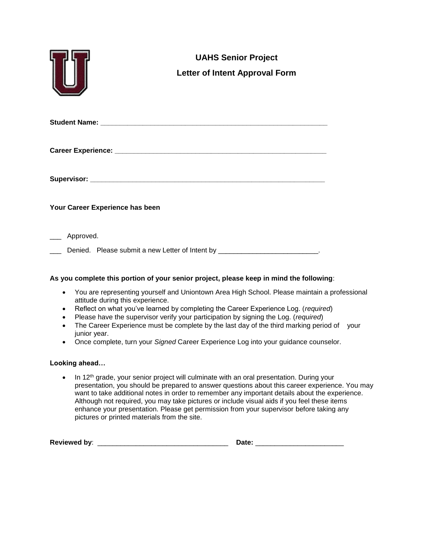|           | <b>UAHS Senior Project</b><br><b>Letter of Intent Approval Form</b>         |
|-----------|-----------------------------------------------------------------------------|
|           |                                                                             |
|           |                                                                             |
|           |                                                                             |
|           | Your Career Experience has been                                             |
| Approved. | Denied. Please submit a new Letter of Intent by __________________________. |

#### **As you complete this portion of your senior project, please keep in mind the following**:

- You are representing yourself and Uniontown Area High School. Please maintain a professional attitude during this experience.
- Reflect on what you've learned by completing the Career Experience Log. (*required*)
- Please have the supervisor verify your participation by signing the Log. (*required*)
- The Career Experience must be complete by the last day of the third marking period of your junior year.
- Once complete, turn your *Signed* Career Experience Log into your guidance counselor.

#### **Looking ahead…**

• In 12<sup>th</sup> grade, your senior project will culminate with an oral presentation. During your presentation, you should be prepared to answer questions about this career experience. You may want to take additional notes in order to remember any important details about the experience. Although not required, you may take pictures or include visual aids if you feel these items enhance your presentation. Please get permission from your supervisor before taking any pictures or printed materials from the site.

| Reviewed by: |  |  |  |
|--------------|--|--|--|
|--------------|--|--|--|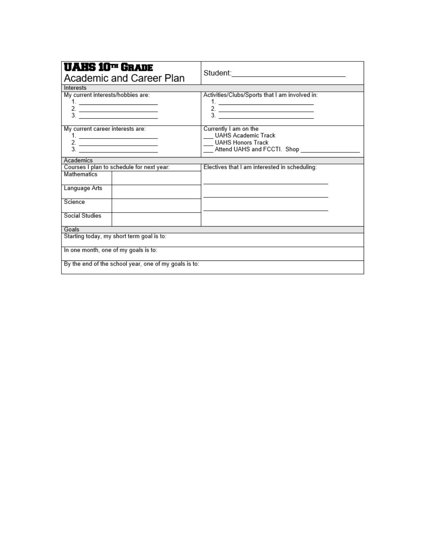| <b>UAHS 10TH GRADE</b><br>Academic and Career Plan                                          | Student: <u>www.community.com</u>                                                                              |  |
|---------------------------------------------------------------------------------------------|----------------------------------------------------------------------------------------------------------------|--|
| Interests                                                                                   |                                                                                                                |  |
| My current interests/hobbies are:<br>$\frac{2}{3}$                                          | Activities/Clubs/Sports that I am involved in:<br>$\begin{array}{c}\n2. \\ \hline\n3. \n\end{array}$           |  |
| My current career interests are:<br>$\frac{2}{3}$                                           | Currently I am on the<br><b>UAHS Academic Track</b><br><b>UAHS Honors Track</b><br>Attend UAHS and FCCTI. Shop |  |
| Academics                                                                                   |                                                                                                                |  |
| Courses I plan to schedule for next year:<br><b>Mathematics</b><br>Language Arts<br>Science | Electives that I am interested in scheduling:                                                                  |  |
| Social Studies                                                                              |                                                                                                                |  |
| Goals                                                                                       |                                                                                                                |  |
| Starting today, my short term goal is to:                                                   |                                                                                                                |  |
| In one month, one of my goals is to:                                                        |                                                                                                                |  |
| By the end of the school year, one of my goals is to:                                       |                                                                                                                |  |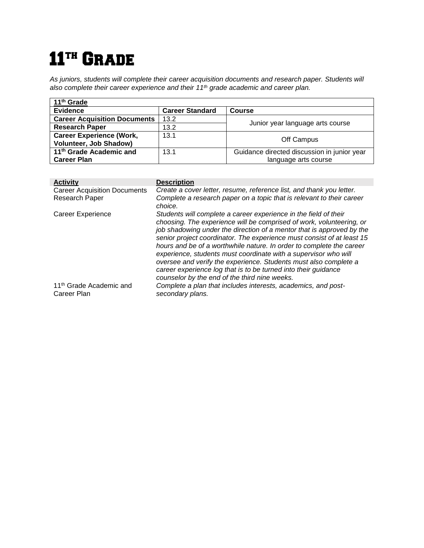# 11<sup>th</sup> GRADE

*As juniors, students will complete their career acquisition documents and research paper. Students will also complete their career experience and their 11th grade academic and career plan.*

| 11 <sup>th</sup> Grade              |                        |                                             |  |
|-------------------------------------|------------------------|---------------------------------------------|--|
| <b>Evidence</b>                     | <b>Career Standard</b> | <b>Course</b>                               |  |
| <b>Career Acquisition Documents</b> | 13.2                   |                                             |  |
| <b>Research Paper</b>               | 13.2                   | Junior year language arts course            |  |
| <b>Career Experience (Work,</b>     | 13.1                   | Off Campus                                  |  |
| <b>Volunteer, Job Shadow)</b>       |                        |                                             |  |
| 11 <sup>th</sup> Grade Academic and | 13.1                   | Guidance directed discussion in junior year |  |
| <b>Career Plan</b>                  |                        | language arts course                        |  |

| <b>Activity</b>                                    | <b>Description</b>                                                                                                                                                                                                                                                                                                                                                                                                                                                                                                                                                                                                            |
|----------------------------------------------------|-------------------------------------------------------------------------------------------------------------------------------------------------------------------------------------------------------------------------------------------------------------------------------------------------------------------------------------------------------------------------------------------------------------------------------------------------------------------------------------------------------------------------------------------------------------------------------------------------------------------------------|
| <b>Career Acquisition Documents</b>                | Create a cover letter, resume, reference list, and thank you letter.                                                                                                                                                                                                                                                                                                                                                                                                                                                                                                                                                          |
| <b>Research Paper</b>                              | Complete a research paper on a topic that is relevant to their career<br>choice.                                                                                                                                                                                                                                                                                                                                                                                                                                                                                                                                              |
| Career Experience                                  | Students will complete a career experience in the field of their<br>choosing. The experience will be comprised of work, volunteering, or<br>job shadowing under the direction of a mentor that is approved by the<br>senior project coordinator. The experience must consist of at least 15<br>hours and be of a worthwhile nature. In order to complete the career<br>experience, students must coordinate with a supervisor who will<br>oversee and verify the experience. Students must also complete a<br>career experience log that is to be turned into their quidance<br>counselor by the end of the third nine weeks. |
| 11 <sup>th</sup> Grade Academic and<br>Career Plan | Complete a plan that includes interests, academics, and post-<br>secondary plans.                                                                                                                                                                                                                                                                                                                                                                                                                                                                                                                                             |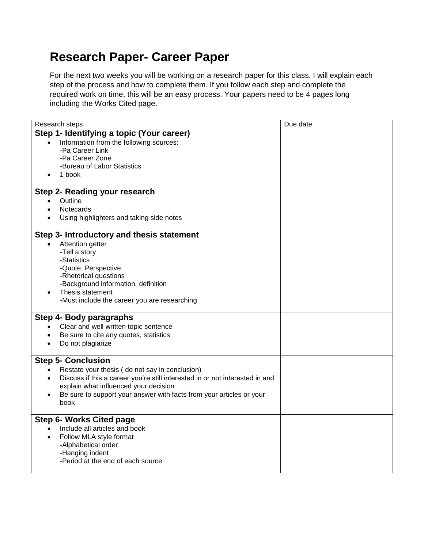### **Research Paper- Career Paper**

For the next two weeks you will be working on a research paper for this class. I will explain each step of the process and how to complete them. If you follow each step and complete the required work on time, this will be an easy process. Your papers need to be 4 pages long including the Works Cited page.

| Research steps                                                                            | Due date |
|-------------------------------------------------------------------------------------------|----------|
| Step 1- Identifying a topic (Your career)                                                 |          |
| Information from the following sources:                                                   |          |
| -Pa Career Link                                                                           |          |
| -Pa Career Zone                                                                           |          |
| -Bureau of Labor Statistics                                                               |          |
| 1 book                                                                                    |          |
|                                                                                           |          |
| Step 2- Reading your research                                                             |          |
| Outline<br>$\bullet$                                                                      |          |
| Notecards                                                                                 |          |
| Using highlighters and taking side notes                                                  |          |
| Step 3- Introductory and thesis statement                                                 |          |
| Attention getter<br>$\bullet$                                                             |          |
| -Tell a story                                                                             |          |
| -Statistics                                                                               |          |
| -Quote, Perspective                                                                       |          |
| -Rhetorical questions                                                                     |          |
| -Background information, definition                                                       |          |
| Thesis statement<br>$\bullet$                                                             |          |
| -Must include the career you are researching                                              |          |
| Step 4- Body paragraphs                                                                   |          |
| Clear and well written topic sentence                                                     |          |
| Be sure to cite any quotes, statistics                                                    |          |
| Do not plagiarize<br>$\bullet$                                                            |          |
|                                                                                           |          |
| <b>Step 5- Conclusion</b>                                                                 |          |
| Restate your thesis (do not say in conclusion)                                            |          |
| Discuss if this a career you're still interested in or not interested in and<br>$\bullet$ |          |
| explain what influenced your decision                                                     |          |
| Be sure to support your answer with facts from your articles or your<br>$\bullet$         |          |
| book                                                                                      |          |
| <b>Step 6- Works Cited page</b>                                                           |          |
| Include all articles and book                                                             |          |
| Follow MLA style format<br>$\bullet$                                                      |          |
| -Alphabetical order                                                                       |          |
| -Hanging indent                                                                           |          |
| -Period at the end of each source                                                         |          |
|                                                                                           |          |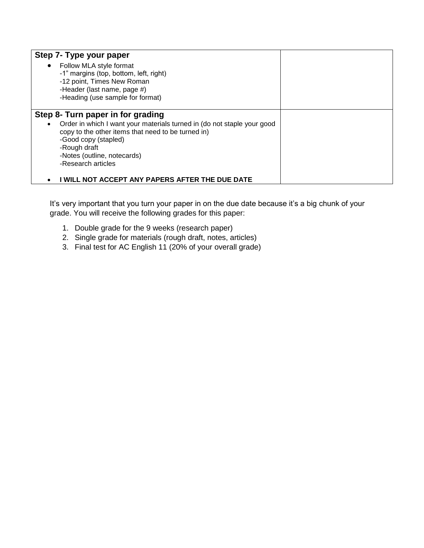| Step 7- Type your paper                                                              |  |
|--------------------------------------------------------------------------------------|--|
| Follow MLA style format<br>$\bullet$                                                 |  |
| -1" margins (top, bottom, left, right)                                               |  |
| -12 point, Times New Roman                                                           |  |
| -Header (last name, page #)                                                          |  |
| -Heading (use sample for format)                                                     |  |
|                                                                                      |  |
| Step 8- Turn paper in for grading                                                    |  |
| Order in which I want your materials turned in (do not staple your good<br>$\bullet$ |  |
| copy to the other items that need to be turned in)                                   |  |
| -Good copy (stapled)                                                                 |  |
| -Rough draft                                                                         |  |
| -Notes (outline, notecards)                                                          |  |
| -Research articles                                                                   |  |
|                                                                                      |  |
| I WILL NOT ACCEPT ANY PAPERS AFTER THE DUE DATE                                      |  |

It's very important that you turn your paper in on the due date because it's a big chunk of your grade. You will receive the following grades for this paper:

- 1. Double grade for the 9 weeks (research paper)
- 2. Single grade for materials (rough draft, notes, articles)
- 3. Final test for AC English 11 (20% of your overall grade)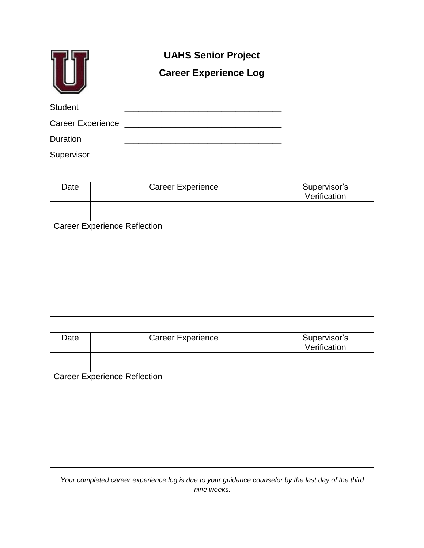|                   | <b>UAHS Senior Project</b><br><b>Career Experience Log</b> |  |
|-------------------|------------------------------------------------------------|--|
| <b>Student</b>    |                                                            |  |
| Career Experience |                                                            |  |
| Duration          |                                                            |  |
| Supervisor        |                                                            |  |

| Date | <b>Career Experience</b>            | Supervisor's<br>Verification |
|------|-------------------------------------|------------------------------|
|      |                                     |                              |
|      | <b>Career Experience Reflection</b> |                              |
|      |                                     |                              |
|      |                                     |                              |
|      |                                     |                              |
|      |                                     |                              |
|      |                                     |                              |
|      |                                     |                              |
|      |                                     |                              |

| Date | <b>Career Experience</b>            | Supervisor's<br>Verification |
|------|-------------------------------------|------------------------------|
|      |                                     |                              |
|      | <b>Career Experience Reflection</b> |                              |
|      |                                     |                              |
|      |                                     |                              |
|      |                                     |                              |
|      |                                     |                              |
|      |                                     |                              |
|      |                                     |                              |
|      |                                     |                              |
|      |                                     |                              |

*Your completed career experience log is due to your guidance counselor by the last day of the third nine weeks.*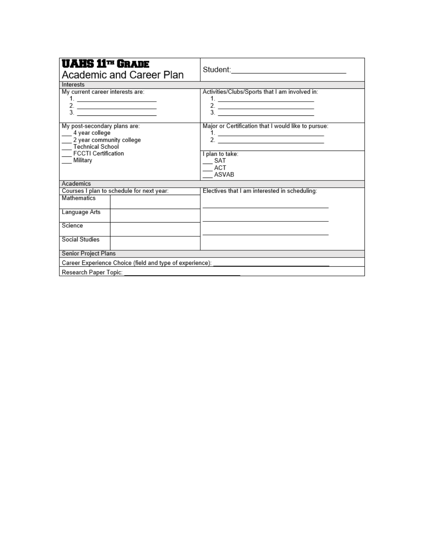| <b>UAHS 11TH GRADE</b><br>Academic and Career Plan                                             |                                                                   |  |  |
|------------------------------------------------------------------------------------------------|-------------------------------------------------------------------|--|--|
| Interests                                                                                      |                                                                   |  |  |
| My current career interests are:<br>$\frac{2}{3}$                                              | Activities/Clubs/Sports that I am involved in:<br>$\frac{2}{3}$ . |  |  |
| My post-secondary plans are:<br>4 year college<br>2 year community college<br>Technical School | Major or Certification that I would like to pursue:               |  |  |
| <b>FCCTI Certification</b>                                                                     | I plan to take:                                                   |  |  |
| Military                                                                                       | SAT<br>ACT<br>ASVAB                                               |  |  |
| Academics                                                                                      |                                                                   |  |  |
| Courses I plan to schedule for next year:                                                      | Electives that I am interested in scheduling:                     |  |  |
| <b>Mathematics</b>                                                                             |                                                                   |  |  |
| Language Arts                                                                                  |                                                                   |  |  |
| Science                                                                                        |                                                                   |  |  |
| <b>Social Studies</b>                                                                          |                                                                   |  |  |
| Senior Project Plans                                                                           |                                                                   |  |  |
| Career Experience Choice (field and type of experience):                                       |                                                                   |  |  |
| Research Paper Topic:                                                                          |                                                                   |  |  |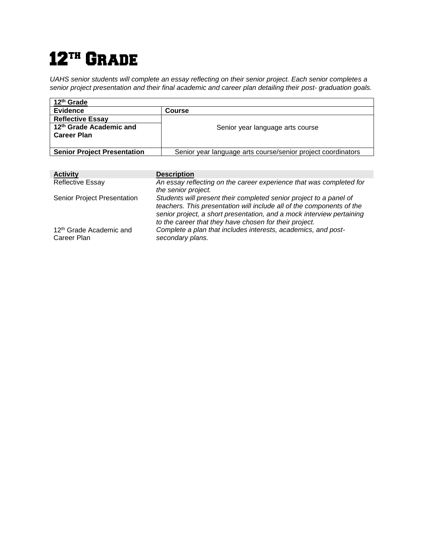# 12<sup>TH</sup> GRADE

*UAHS senior students will complete an essay reflecting on their senior project. Each senior completes a senior project presentation and their final academic and career plan detailing their post- graduation goals.*

| 12 <sup>th</sup> Grade             |                                                              |  |
|------------------------------------|--------------------------------------------------------------|--|
| <b>Evidence</b>                    | Course                                                       |  |
| <b>Reflective Essay</b>            |                                                              |  |
| 12th Grade Academic and            | Senior year language arts course                             |  |
| <b>Career Plan</b>                 |                                                              |  |
|                                    |                                                              |  |
| <b>Senior Project Presentation</b> | Senior year language arts course/senior project coordinators |  |

| <b>Activity</b>                                    | <b>Description</b>                                                                                                                                                                                                                                                             |
|----------------------------------------------------|--------------------------------------------------------------------------------------------------------------------------------------------------------------------------------------------------------------------------------------------------------------------------------|
| <b>Reflective Essay</b>                            | An essay reflecting on the career experience that was completed for<br>the senior project.                                                                                                                                                                                     |
| Senior Project Presentation                        | Students will present their completed senior project to a panel of<br>teachers. This presentation will include all of the components of the<br>senior project, a short presentation, and a mock interview pertaining<br>to the career that they have chosen for their project. |
| 12 <sup>th</sup> Grade Academic and<br>Career Plan | Complete a plan that includes interests, academics, and post-<br>secondary plans.                                                                                                                                                                                              |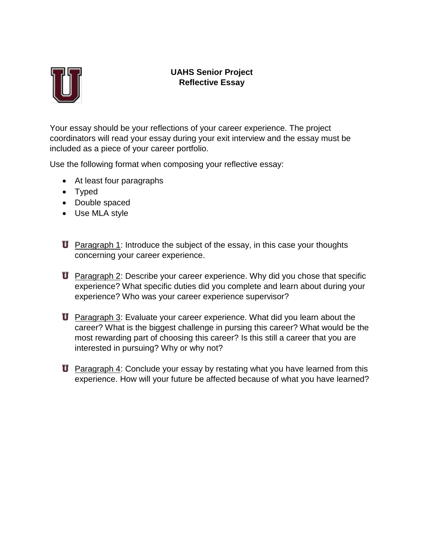

### **UAHS Senior Project Reflective Essay**

Your essay should be your reflections of your career experience. The project coordinators will read your essay during your exit interview and the essay must be included as a piece of your career portfolio.

Use the following format when composing your reflective essay:

- At least four paragraphs
- Typed
- Double spaced
- Use MLA style
- **U** Paragraph 1: Introduce the subject of the essay, in this case your thoughts concerning your career experience.
- **U** Paragraph 2: Describe your career experience. Why did you chose that specific experience? What specific duties did you complete and learn about during your experience? Who was your career experience supervisor?
- **U** Paragraph 3: Evaluate your career experience. What did you learn about the career? What is the biggest challenge in pursing this career? What would be the most rewarding part of choosing this career? Is this still a career that you are interested in pursuing? Why or why not?
- **U** Paragraph 4: Conclude your essay by restating what you have learned from this experience. How will your future be affected because of what you have learned?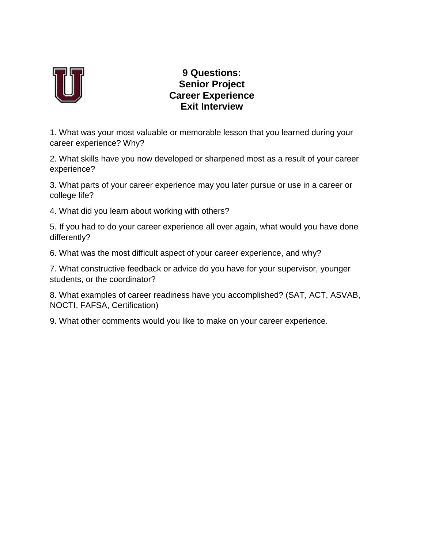

### **9 Questions: Senior Project Career Experience Exit Interview**

1. What was your most valuable or memorable lesson that you learned during your career experience? Why?

2. What skills have you now developed or sharpened most as a result of your career experience?

3. What parts of your career experience may you later pursue or use in a career or college life?

4. What did you learn about working with others?

5. If you had to do your career experience all over again, what would you have done differently?

6. What was the most difficult aspect of your career experience, and why?

7. What constructive feedback or advice do you have for your supervisor, younger students, or the coordinator?

8. What examples of career readiness have you accomplished? (SAT, ACT, ASVAB, NOCTI, FAFSA, Certification)

9. What other comments would you like to make on your career experience.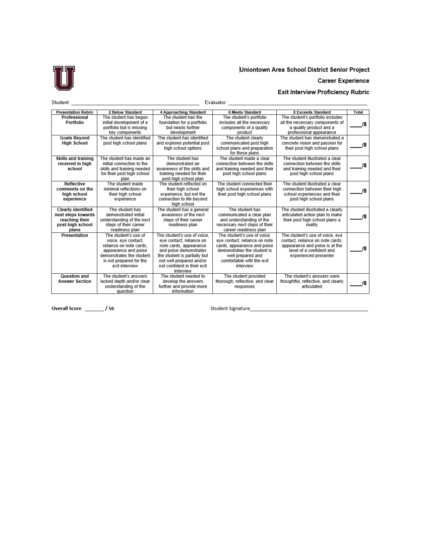

#### Uniontown Area School District Senior Project

#### **Career Experience**

#### Exit Interview Proficiency Rubric

| Student:                                                                                       | Evaluator:                                                                                                                                                              |                                                                                                                                                                                                                     |                                                                                                                                                                                           |                                                                                                                                                            |              |
|------------------------------------------------------------------------------------------------|-------------------------------------------------------------------------------------------------------------------------------------------------------------------------|---------------------------------------------------------------------------------------------------------------------------------------------------------------------------------------------------------------------|-------------------------------------------------------------------------------------------------------------------------------------------------------------------------------------------|------------------------------------------------------------------------------------------------------------------------------------------------------------|--------------|
| <b>Presentation Rubric</b>                                                                     | 2 Below Standard                                                                                                                                                        | 4 Approaching Standard                                                                                                                                                                                              | <b>6 Meets Standard</b>                                                                                                                                                                   | 8 Exceeds Standard                                                                                                                                         | <b>Total</b> |
| Professional<br>Portfolio                                                                      | The student has begun<br>initial development of a<br>portfolio but is missing<br>key components                                                                         | The student has the<br>foundation for a portfolio<br>but needs further<br>development                                                                                                                               | The student's portfolio<br>includes all the necessary<br>components of a quality<br>product                                                                                               | The student's portfolio includes<br>all the necessary components of<br>a quality product and a<br>professional appearance                                  | /8           |
| <b>Goals Bevond</b><br><b>High School</b>                                                      | The student has identified<br>post high school plans                                                                                                                    | The student has identified<br>and explores potential post<br>high school options                                                                                                                                    | The student clearly<br>communicated post high<br>school plans and preparation<br>for these plans                                                                                          | The student has demonstrated a<br>concrete vision and passion for<br>their post high school plans                                                          | /8           |
| Skills and training<br>received in high<br>school                                              | The student has made an<br>initial connection to the<br>skills and training needed<br>for their post high school<br>plan                                                | The student has<br>demonstrated an<br>awareness of the skills and<br>training needed for their<br>post high school plan                                                                                             | The student made a clear<br>connection between the skills<br>and training needed and their<br>post high school plans                                                                      | The student illustrated a clear<br>connection between the skills<br>and training needed and their<br>post high school plans                                | /8           |
| <b>Reflective</b><br>comments on the<br>high school<br>experience                              | The student made<br>minimal reflections on<br>their high school<br>experience                                                                                           | The student reflected on<br>their high school<br>experience, but not the<br>connection to life bevond<br>high school                                                                                                | The student connected their<br>high school experiences with<br>their post high school plans                                                                                               | The student illustrated a clear<br>connection between their high<br>school experiences and their<br>post high school plans                                 | 18           |
| <b>Clearly identified</b><br>next steps towards<br>reaching their<br>post-high school<br>plans | The student has<br>demonstrated initial<br>understanding of the next<br>steps of their career<br>readiness plan                                                         | The student has a general<br>awareness of the next<br>steps of their career<br>readiness plan                                                                                                                       | The student has<br>communicated a clear plan<br>and understanding of the<br>necessary next steps of their<br>career readiness plan                                                        | The student illustrated a clearly<br>articulated action plan to make<br>their post high school plans a<br>reality                                          | /8           |
| Presentation                                                                                   | The student's use of<br>voice, eve contact.<br>reliance on note cards.<br>appearance and poise<br>demonstrates the student<br>is not prepared for the<br>exit interview | The student's use of voice.<br>eve contact, reliance on<br>note cards, appearance<br>and poise demonstrates<br>the student is partially but<br>not well prepared and/or<br>not confident in their exit<br>interview | The student's use of voice.<br>eve contact, reliance on note<br>cards, appearance and poise<br>demonstrates the student is<br>well prepared and<br>comfortable with the exit<br>interview | The student's use of voice, eye<br>contact, reliance on note cards.<br>appearance and poise is at the<br>level of a confident and<br>experienced presenter | /8           |
| Question and<br><b>Answer Section</b>                                                          | The student's answers<br>lacked depth and/or clear<br>understanding of the<br>question                                                                                  | The student needed to<br>develop the answers<br>further and provide more<br>information                                                                                                                             | The student provided<br>thorough, reflective, and clear<br>responses                                                                                                                      | The student's answers were<br>thoughtful, reflective, and clearly<br>articulated                                                                           | /8           |

Overall Score \_\_\_\_\_\_\_/56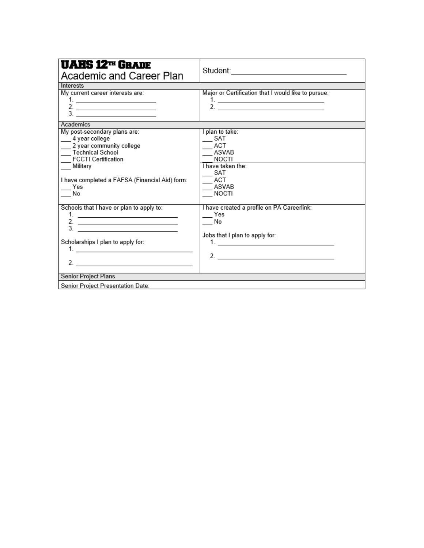| <b>UAHS 12TH GRADE</b><br>Academic and Career Plan                                                                                                                                                        |                                                                                                                                                                                                                                                                                                                                                                                                                                                                 |
|-----------------------------------------------------------------------------------------------------------------------------------------------------------------------------------------------------------|-----------------------------------------------------------------------------------------------------------------------------------------------------------------------------------------------------------------------------------------------------------------------------------------------------------------------------------------------------------------------------------------------------------------------------------------------------------------|
| Interests                                                                                                                                                                                                 |                                                                                                                                                                                                                                                                                                                                                                                                                                                                 |
| My current career interests are:<br>$\frac{2}{3}$ .                                                                                                                                                       | Major or Certification that I would like to pursue:                                                                                                                                                                                                                                                                                                                                                                                                             |
| Academics                                                                                                                                                                                                 |                                                                                                                                                                                                                                                                                                                                                                                                                                                                 |
| My post-secondary plans are:<br>4 year college<br>2 year community college<br>Technical School<br><b>FCCTI Certification</b><br>Military<br>I have completed a FAFSA (Financial Aid) form:<br>Yes<br>No   | I plan to take:<br>$\equiv$ SAT<br>ACT<br>ASVAB<br><b>NOCTI</b><br>I have taken the:<br>SAT<br><b>ACT</b><br>ASVAB<br>$-$ NOCTI                                                                                                                                                                                                                                                                                                                                 |
| Schools that I have or plan to apply to:<br>2. $\qquad \qquad$<br>$\overline{\phantom{a}}$ 3.<br>Scholarships I plan to apply for:<br><u>1. _________________________________</u><br>Senior Project Plans | I have created a profile on PA Careerlink:<br>Yes<br>No.<br>Jobs that I plan to apply for:<br>1. <u>_____________________________</u><br>2. $\frac{1}{2}$ $\frac{1}{2}$ $\frac{1}{2}$ $\frac{1}{2}$ $\frac{1}{2}$ $\frac{1}{2}$ $\frac{1}{2}$ $\frac{1}{2}$ $\frac{1}{2}$ $\frac{1}{2}$ $\frac{1}{2}$ $\frac{1}{2}$ $\frac{1}{2}$ $\frac{1}{2}$ $\frac{1}{2}$ $\frac{1}{2}$ $\frac{1}{2}$ $\frac{1}{2}$ $\frac{1}{2}$ $\frac{1}{2}$ $\frac{1}{2}$ $\frac{1}{2}$ |
| Senior Project Presentation Date:                                                                                                                                                                         |                                                                                                                                                                                                                                                                                                                                                                                                                                                                 |